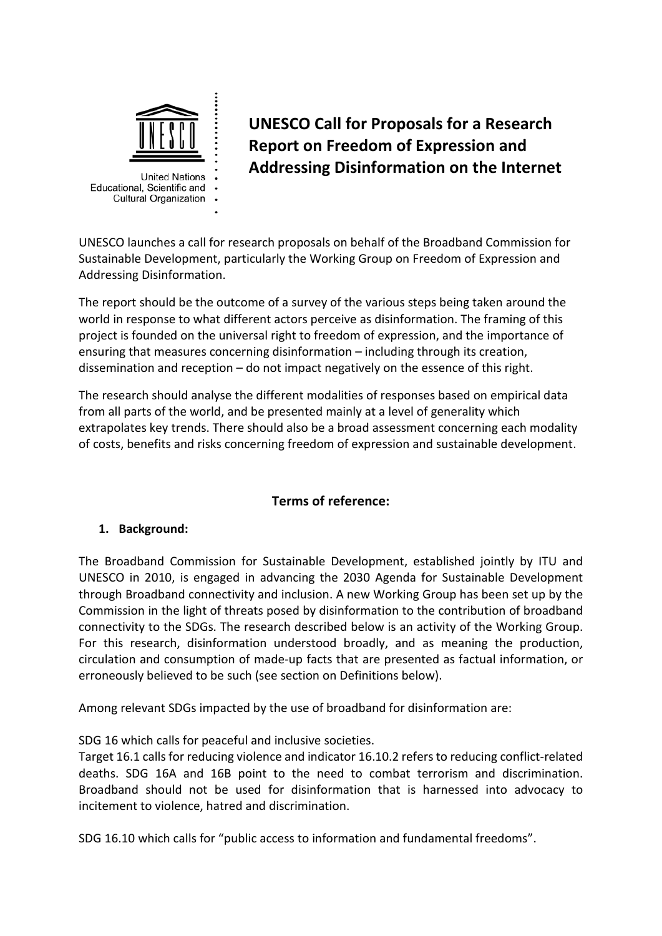

**United Nations** Educational, Scientific and **Cultural Organization** 

**UNESCO Call for Proposals for a Research Report on Freedom of Expression and Addressing Disinformation on the Internet**

UNESCO launches a call for research proposals on behalf of the Broadband Commission for Sustainable Development, particularly the Working Group on Freedom of Expression and Addressing Disinformation.

The report should be the outcome of a survey of the various steps being taken around the world in response to what different actors perceive as disinformation. The framing of this project is founded on the universal right to freedom of expression, and the importance of ensuring that measures concerning disinformation – including through its creation, dissemination and reception – do not impact negatively on the essence of this right.

The research should analyse the different modalities of responses based on empirical data from all parts of the world, and be presented mainly at a level of generality which extrapolates key trends. There should also be a broad assessment concerning each modality of costs, benefits and risks concerning freedom of expression and sustainable development.

# **Terms of reference:**

# **1. Background:**

The Broadband Commission for Sustainable Development, established jointly by ITU and UNESCO in 2010, is engaged in advancing the 2030 Agenda for Sustainable Development through Broadband connectivity and inclusion. A new Working Group has been set up by the Commission in the light of threats posed by disinformation to the contribution of broadband connectivity to the SDGs. The research described below is an activity of the Working Group. For this research, disinformation understood broadly, and as meaning the production, circulation and consumption of made-up facts that are presented as factual information, or erroneously believed to be such (see section on Definitions below).

Among relevant SDGs impacted by the use of broadband for disinformation are:

SDG 16 which calls for peaceful and inclusive societies.

Target 16.1 calls for reducing violence and indicator 16.10.2 refers to reducing conflict-related deaths. SDG 16A and 16B point to the need to combat terrorism and discrimination. Broadband should not be used for disinformation that is harnessed into advocacy to incitement to violence, hatred and discrimination.

SDG 16.10 which calls for "public access to information and fundamental freedoms".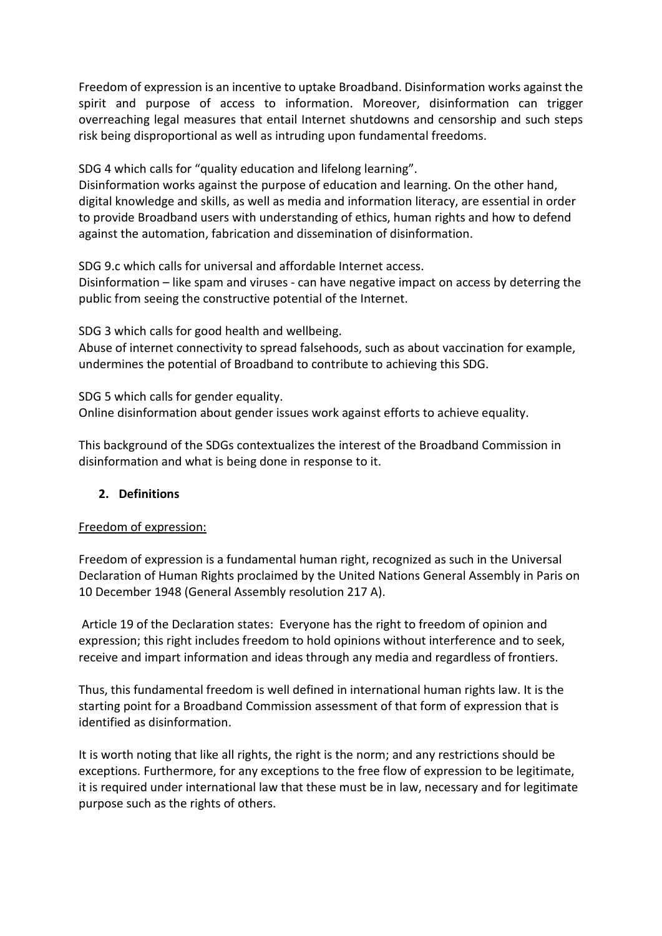Freedom of expression is an incentive to uptake Broadband. Disinformation works against the spirit and purpose of access to information. Moreover, disinformation can trigger overreaching legal measures that entail Internet shutdowns and censorship and such steps risk being disproportional as well as intruding upon fundamental freedoms.

SDG 4 which calls for "quality education and lifelong learning".

Disinformation works against the purpose of education and learning. On the other hand, digital knowledge and skills, as well as media and information literacy, are essential in order to provide Broadband users with understanding of ethics, human rights and how to defend against the automation, fabrication and dissemination of disinformation.

SDG 9.c which calls for universal and affordable Internet access.

Disinformation – like spam and viruses - can have negative impact on access by deterring the public from seeing the constructive potential of the Internet.

SDG 3 which calls for good health and wellbeing.

Abuse of internet connectivity to spread falsehoods, such as about vaccination for example, undermines the potential of Broadband to contribute to achieving this SDG.

SDG 5 which calls for gender equality. Online disinformation about gender issues work against efforts to achieve equality.

This background of the SDGs contextualizes the interest of the Broadband Commission in disinformation and what is being done in response to it.

## **2. Definitions**

#### Freedom of expression:

Freedom of expression is a fundamental human right, recognized as such in the Universal Declaration of Human Rights proclaimed by the United Nations General Assembly in Paris on 10 December 1948 (General Assembly resolution 217 A).

Article 19 of the Declaration states: Everyone has the right to freedom of opinion and expression; this right includes freedom to hold opinions without interference and to seek, receive and impart information and ideas through any media and regardless of frontiers.

Thus, this fundamental freedom is well defined in international human rights law. It is the starting point for a Broadband Commission assessment of that form of expression that is identified as disinformation.

It is worth noting that like all rights, the right is the norm; and any restrictions should be exceptions. Furthermore, for any exceptions to the free flow of expression to be legitimate, it is required under international law that these must be in law, necessary and for legitimate purpose such as the rights of others.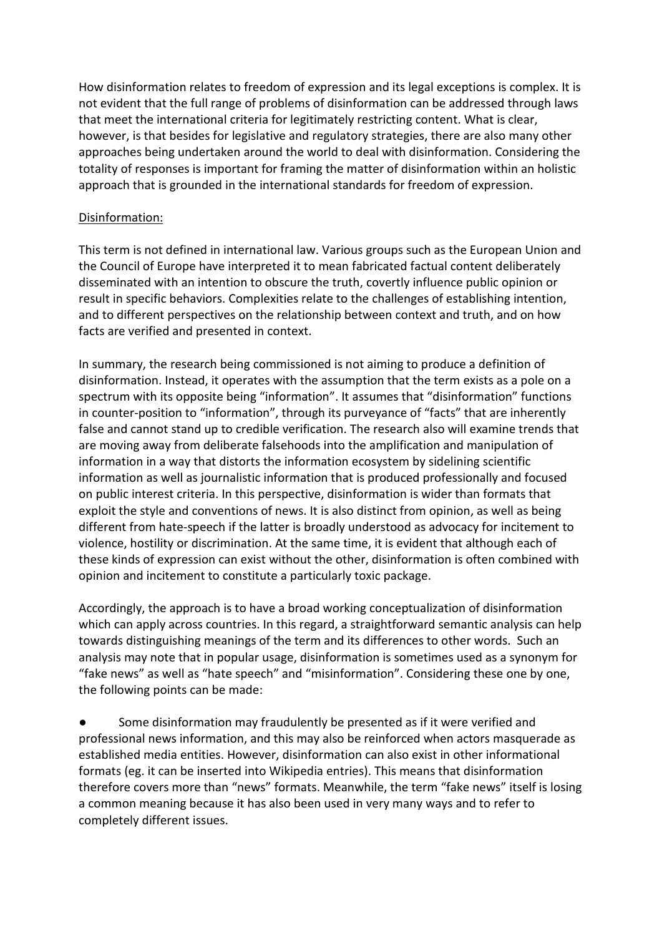How disinformation relates to freedom of expression and its legal exceptions is complex. It is not evident that the full range of problems of disinformation can be addressed through laws that meet the international criteria for legitimately restricting content. What is clear, however, is that besides for legislative and regulatory strategies, there are also many other approaches being undertaken around the world to deal with disinformation. Considering the totality of responses is important for framing the matter of disinformation within an holistic approach that is grounded in the international standards for freedom of expression.

### Disinformation:

This term is not defined in international law. Various groups such as the European Union and the Council of Europe have interpreted it to mean fabricated factual content deliberately disseminated with an intention to obscure the truth, covertly influence public opinion or result in specific behaviors. Complexities relate to the challenges of establishing intention, and to different perspectives on the relationship between context and truth, and on how facts are verified and presented in context.

In summary, the research being commissioned is not aiming to produce a definition of disinformation. Instead, it operates with the assumption that the term exists as a pole on a spectrum with its opposite being "information". It assumes that "disinformation" functions in counter-position to "information", through its purveyance of "facts" that are inherently false and cannot stand up to credible verification. The research also will examine trends that are moving away from deliberate falsehoods into the amplification and manipulation of information in a way that distorts the information ecosystem by sidelining scientific information as well as journalistic information that is produced professionally and focused on public interest criteria. In this perspective, disinformation is wider than formats that exploit the style and conventions of news. It is also distinct from opinion, as well as being different from hate-speech if the latter is broadly understood as advocacy for incitement to violence, hostility or discrimination. At the same time, it is evident that although each of these kinds of expression can exist without the other, disinformation is often combined with opinion and incitement to constitute a particularly toxic package.

Accordingly, the approach is to have a broad working conceptualization of disinformation which can apply across countries. In this regard, a straightforward semantic analysis can help towards distinguishing meanings of the term and its differences to other words. Such an analysis may note that in popular usage, disinformation is sometimes used as a synonym for "fake news" as well as "hate speech" and "misinformation". Considering these one by one, the following points can be made:

● Some disinformation may fraudulently be presented as if it were verified and professional news information, and this may also be reinforced when actors masquerade as established media entities. However, disinformation can also exist in other informational formats (eg. it can be inserted into Wikipedia entries). This means that disinformation therefore covers more than "news" formats. Meanwhile, the term "fake news" itself is losing a common meaning because it has also been used in very many ways and to refer to completely different issues.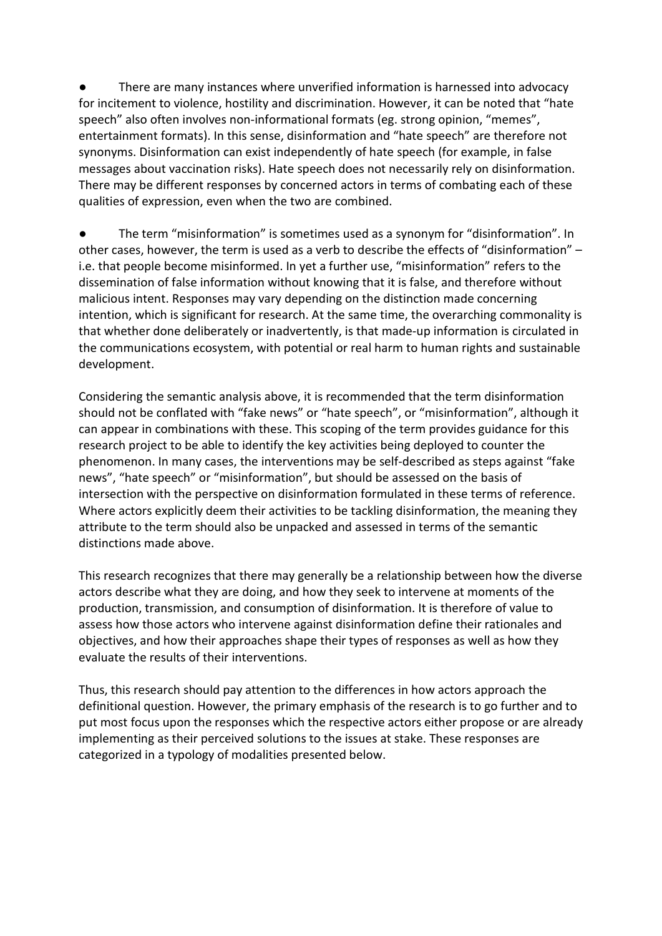● There are many instances where unverified information is harnessed into advocacy for incitement to violence, hostility and discrimination. However, it can be noted that "hate speech" also often involves non-informational formats (eg. strong opinion, "memes", entertainment formats). In this sense, disinformation and "hate speech" are therefore not synonyms. Disinformation can exist independently of hate speech (for example, in false messages about vaccination risks). Hate speech does not necessarily rely on disinformation. There may be different responses by concerned actors in terms of combating each of these qualities of expression, even when the two are combined.

● The term "misinformation" is sometimes used as a synonym for "disinformation". In other cases, however, the term is used as a verb to describe the effects of "disinformation" – i.e. that people become misinformed. In yet a further use, "misinformation" refers to the dissemination of false information without knowing that it is false, and therefore without malicious intent. Responses may vary depending on the distinction made concerning intention, which is significant for research. At the same time, the overarching commonality is that whether done deliberately or inadvertently, is that made-up information is circulated in the communications ecosystem, with potential or real harm to human rights and sustainable development.

Considering the semantic analysis above, it is recommended that the term disinformation should not be conflated with "fake news" or "hate speech", or "misinformation", although it can appear in combinations with these. This scoping of the term provides guidance for this research project to be able to identify the key activities being deployed to counter the phenomenon. In many cases, the interventions may be self-described as steps against "fake news", "hate speech" or "misinformation", but should be assessed on the basis of intersection with the perspective on disinformation formulated in these terms of reference. Where actors explicitly deem their activities to be tackling disinformation, the meaning they attribute to the term should also be unpacked and assessed in terms of the semantic distinctions made above.

This research recognizes that there may generally be a relationship between how the diverse actors describe what they are doing, and how they seek to intervene at moments of the production, transmission, and consumption of disinformation. It is therefore of value to assess how those actors who intervene against disinformation define their rationales and objectives, and how their approaches shape their types of responses as well as how they evaluate the results of their interventions.

Thus, this research should pay attention to the differences in how actors approach the definitional question. However, the primary emphasis of the research is to go further and to put most focus upon the responses which the respective actors either propose or are already implementing as their perceived solutions to the issues at stake. These responses are categorized in a typology of modalities presented below.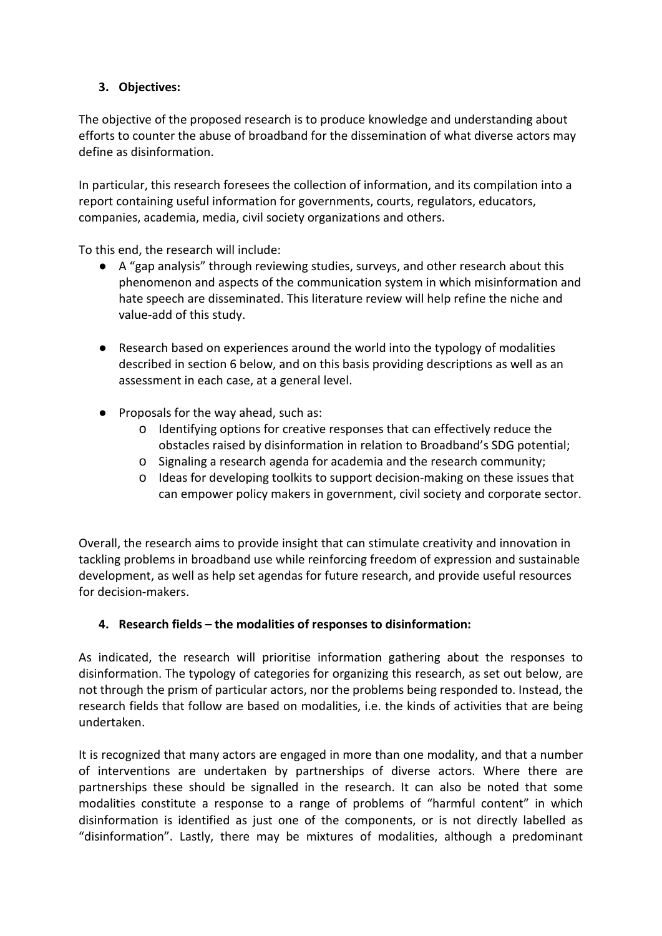## **3. Objectives:**

The objective of the proposed research is to produce knowledge and understanding about efforts to counter the abuse of broadband for the dissemination of what diverse actors may define as disinformation.

In particular, this research foresees the collection of information, and its compilation into a report containing useful information for governments, courts, regulators, educators, companies, academia, media, civil society organizations and others.

To this end, the research will include:

- A "gap analysis" through reviewing studies, surveys, and other research about this phenomenon and aspects of the communication system in which misinformation and hate speech are disseminated. This literature review will help refine the niche and value-add of this study.
- Research based on experiences around the world into the typology of modalities described in section 6 below, and on this basis providing descriptions as well as an assessment in each case, at a general level.
- Proposals for the way ahead, such as:
	- o Identifying options for creative responses that can effectively reduce the obstacles raised by disinformation in relation to Broadband's SDG potential;
	- o Signaling a research agenda for academia and the research community;
	- o Ideas for developing toolkits to support decision-making on these issues that can empower policy makers in government, civil society and corporate sector.

Overall, the research aims to provide insight that can stimulate creativity and innovation in tackling problems in broadband use while reinforcing freedom of expression and sustainable development, as well as help set agendas for future research, and provide useful resources for decision-makers.

## **4. Research fields – the modalities of responses to disinformation:**

As indicated, the research will prioritise information gathering about the responses to disinformation. The typology of categories for organizing this research, as set out below, are not through the prism of particular actors, nor the problems being responded to. Instead, the research fields that follow are based on modalities, i.e. the kinds of activities that are being undertaken.

It is recognized that many actors are engaged in more than one modality, and that a number of interventions are undertaken by partnerships of diverse actors. Where there are partnerships these should be signalled in the research. It can also be noted that some modalities constitute a response to a range of problems of "harmful content" in which disinformation is identified as just one of the components, or is not directly labelled as "disinformation". Lastly, there may be mixtures of modalities, although a predominant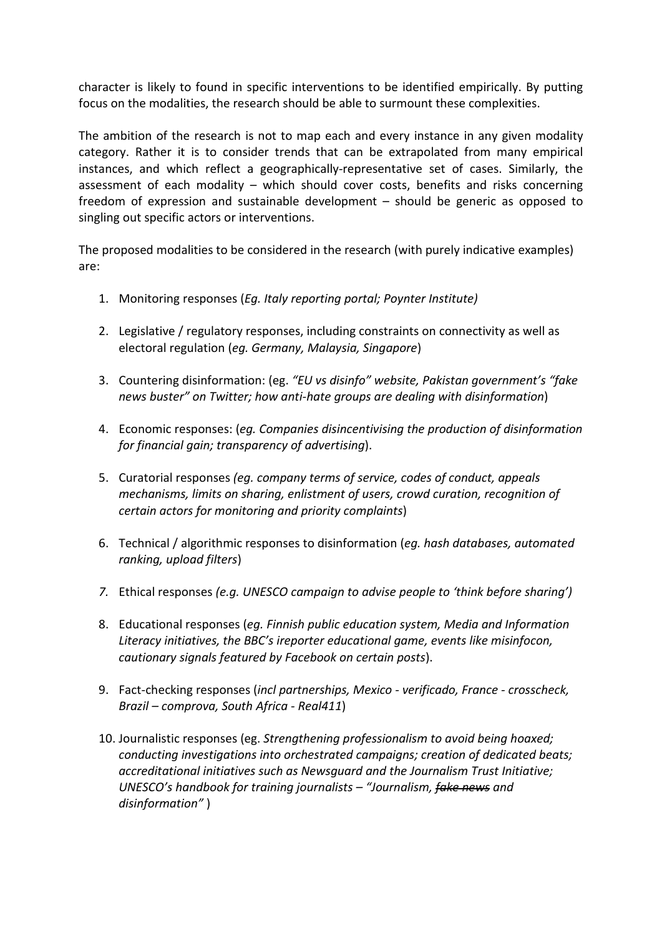character is likely to found in specific interventions to be identified empirically. By putting focus on the modalities, the research should be able to surmount these complexities.

The ambition of the research is not to map each and every instance in any given modality category. Rather it is to consider trends that can be extrapolated from many empirical instances, and which reflect a geographically-representative set of cases. Similarly, the assessment of each modality – which should cover costs, benefits and risks concerning freedom of expression and sustainable development – should be generic as opposed to singling out specific actors or interventions.

The proposed modalities to be considered in the research (with purely indicative examples) are:

- 1. Monitoring responses (*Eg. Italy reporting portal; Poynter Institute)*
- 2. Legislative / regulatory responses, including constraints on connectivity as well as electoral regulation (*eg. Germany, Malaysia, Singapore*)
- 3. Countering disinformation: (eg. *"EU vs disinfo" website, Pakistan government's "fake news buster" on Twitter; how anti-hate groups are dealing with disinformation*)
- 4. Economic responses: (*eg. Companies disincentivising the production of disinformation for financial gain; transparency of advertising*).
- 5. Curatorial responses *(eg. company terms of service, codes of conduct, appeals mechanisms, limits on sharing, enlistment of users, crowd curation, recognition of certain actors for monitoring and priority complaints*)
- 6. Technical / algorithmic responses to disinformation (*eg. hash databases, automated ranking, upload filters*)
- *7.* Ethical responses *(e.g. UNESCO campaign to advise people to 'think before sharing')*
- 8. Educational responses (*eg. Finnish public education system, Media and Information Literacy initiatives, the BBC's ireporter educational game, events like misinfocon, cautionary signals featured by Facebook on certain posts*).
- 9. Fact-checking responses (*incl partnerships, Mexico - verificado, France - crosscheck, Brazil – comprova, South Africa - Real411*)
- 10. Journalistic responses (eg. *Strengthening professionalism to avoid being hoaxed; conducting investigations into orchestrated campaigns; creation of dedicated beats; accreditational initiatives such as Newsguard and the Journalism Trust Initiative; UNESCO's handbook for training journalists – "Journalism, fake news and disinformation"* )